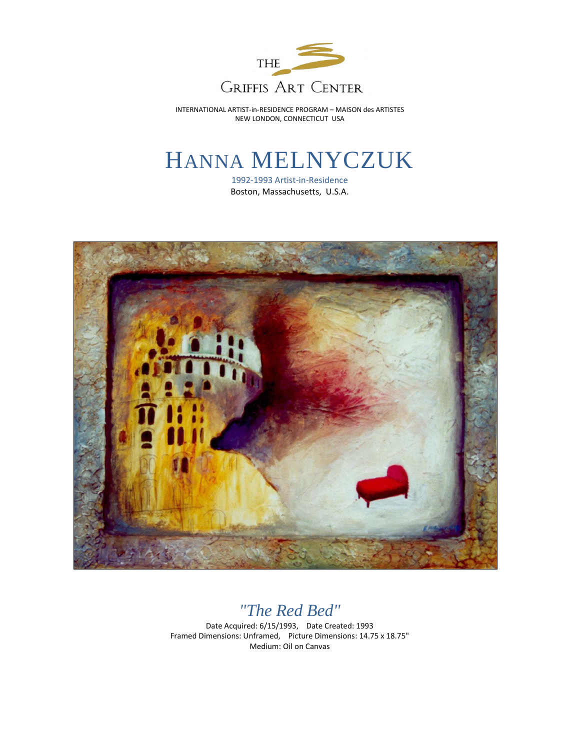

INTERNATIONAL ARTIST-in-RESIDENCE PROGRAM – MAISON des ARTISTES NEW LONDON, CONNECTICUT USA

## HANNA MELNYCZUK

1992-1993 Artist-in-Residence Boston, Massachusetts, U.S.A.



## *"The Red Bed"*

Date Acquired: 6/15/1993, Date Created: 1993 Framed Dimensions: Unframed, Picture Dimensions: 14.75 x 18.75" Medium: Oil on Canvas